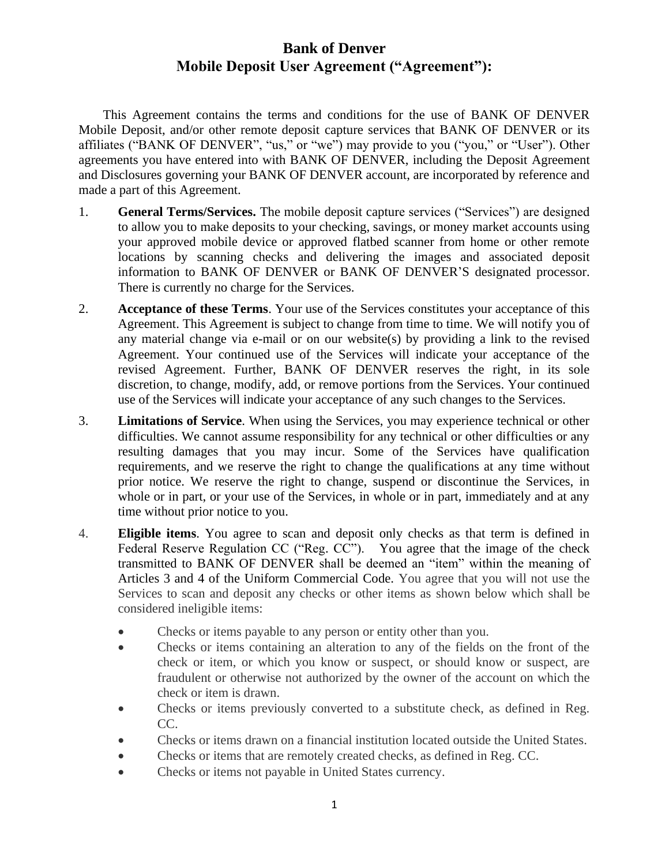This Agreement contains the terms and conditions for the use of BANK OF DENVER Mobile Deposit, and/or other remote deposit capture services that BANK OF DENVER or its affiliates ("BANK OF DENVER", "us," or "we") may provide to you ("you," or "User"). Other agreements you have entered into with BANK OF DENVER, including the Deposit Agreement and Disclosures governing your BANK OF DENVER account, are incorporated by reference and made a part of this Agreement.

- 1. **General Terms/Services.** The mobile deposit capture services ("Services") are designed to allow you to make deposits to your checking, savings, or money market accounts using your approved mobile device or approved flatbed scanner from home or other remote locations by scanning checks and delivering the images and associated deposit information to BANK OF DENVER or BANK OF DENVER'S designated processor. There is currently no charge for the Services.
- 2. **Acceptance of these Terms**. Your use of the Services constitutes your acceptance of this Agreement. This Agreement is subject to change from time to time. We will notify you of any material change via e-mail or on our website(s) by providing a link to the revised Agreement. Your continued use of the Services will indicate your acceptance of the revised Agreement. Further, BANK OF DENVER reserves the right, in its sole discretion, to change, modify, add, or remove portions from the Services. Your continued use of the Services will indicate your acceptance of any such changes to the Services.
- 3. **Limitations of Service**. When using the Services, you may experience technical or other difficulties. We cannot assume responsibility for any technical or other difficulties or any resulting damages that you may incur. Some of the Services have qualification requirements, and we reserve the right to change the qualifications at any time without prior notice. We reserve the right to change, suspend or discontinue the Services, in whole or in part, or your use of the Services, in whole or in part, immediately and at any time without prior notice to you.
- 4. **Eligible items**. You agree to scan and deposit only checks as that term is defined in Federal Reserve Regulation CC ("Reg. CC"). You agree that the image of the check transmitted to BANK OF DENVER shall be deemed an "item" within the meaning of Articles 3 and 4 of the Uniform Commercial Code. You agree that you will not use the Services to scan and deposit any checks or other items as shown below which shall be considered ineligible items:
	- Checks or items payable to any person or entity other than you.
	- Checks or items containing an alteration to any of the fields on the front of the check or item, or which you know or suspect, or should know or suspect, are fraudulent or otherwise not authorized by the owner of the account on which the check or item is drawn.
	- Checks or items previously converted to a substitute check, as defined in Reg. CC.
	- Checks or items drawn on a financial institution located outside the United States.
	- Checks or items that are remotely created checks, as defined in Reg. CC.
	- Checks or items not payable in United States currency.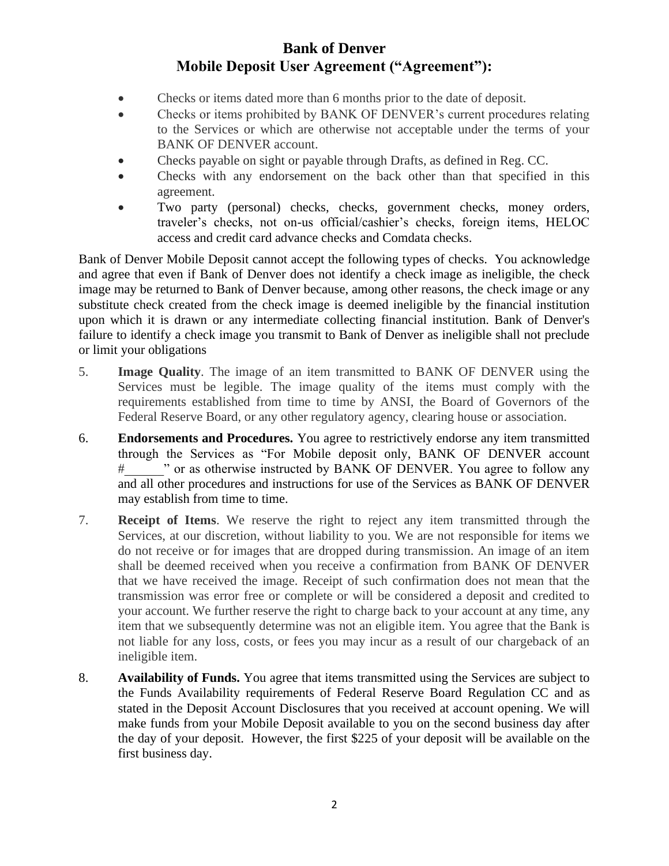- Checks or items dated more than 6 months prior to the date of deposit.
- Checks or items prohibited by BANK OF DENVER's current procedures relating to the Services or which are otherwise not acceptable under the terms of your BANK OF DENVER account.
- Checks payable on sight or payable through Drafts, as defined in Reg. CC.
- Checks with any endorsement on the back other than that specified in this agreement.
- Two party (personal) checks, checks, government checks, money orders, traveler's checks, not on-us official/cashier's checks, foreign items, HELOC access and credit card advance checks and Comdata checks.

Bank of Denver Mobile Deposit cannot accept the following types of checks. You acknowledge and agree that even if Bank of Denver does not identify a check image as ineligible, the check image may be returned to Bank of Denver because, among other reasons, the check image or any substitute check created from the check image is deemed ineligible by the financial institution upon which it is drawn or any intermediate collecting financial institution. Bank of Denver's failure to identify a check image you transmit to Bank of Denver as ineligible shall not preclude or limit your obligations

- 5. **Image Quality**. The image of an item transmitted to BANK OF DENVER using the Services must be legible. The image quality of the items must comply with the requirements established from time to time by ANSI, the Board of Governors of the Federal Reserve Board, or any other regulatory agency, clearing house or association.
- 6. **Endorsements and Procedures.** You agree to restrictively endorse any item transmitted through the Services as "For Mobile deposit only, BANK OF DENVER account #\_\_\_\_\_\_" or as otherwise instructed by BANK OF DENVER. You agree to follow any and all other procedures and instructions for use of the Services as BANK OF DENVER may establish from time to time.
- 7. **Receipt of Items**. We reserve the right to reject any item transmitted through the Services, at our discretion, without liability to you. We are not responsible for items we do not receive or for images that are dropped during transmission. An image of an item shall be deemed received when you receive a confirmation from BANK OF DENVER that we have received the image. Receipt of such confirmation does not mean that the transmission was error free or complete or will be considered a deposit and credited to your account. We further reserve the right to charge back to your account at any time, any item that we subsequently determine was not an eligible item. You agree that the Bank is not liable for any loss, costs, or fees you may incur as a result of our chargeback of an ineligible item.
- 8. **Availability of Funds.** You agree that items transmitted using the Services are subject to the Funds Availability requirements of Federal Reserve Board Regulation CC and as stated in the Deposit Account Disclosures that you received at account opening. We will make funds from your Mobile Deposit available to you on the second business day after the day of your deposit. However, the first \$225 of your deposit will be available on the first business day.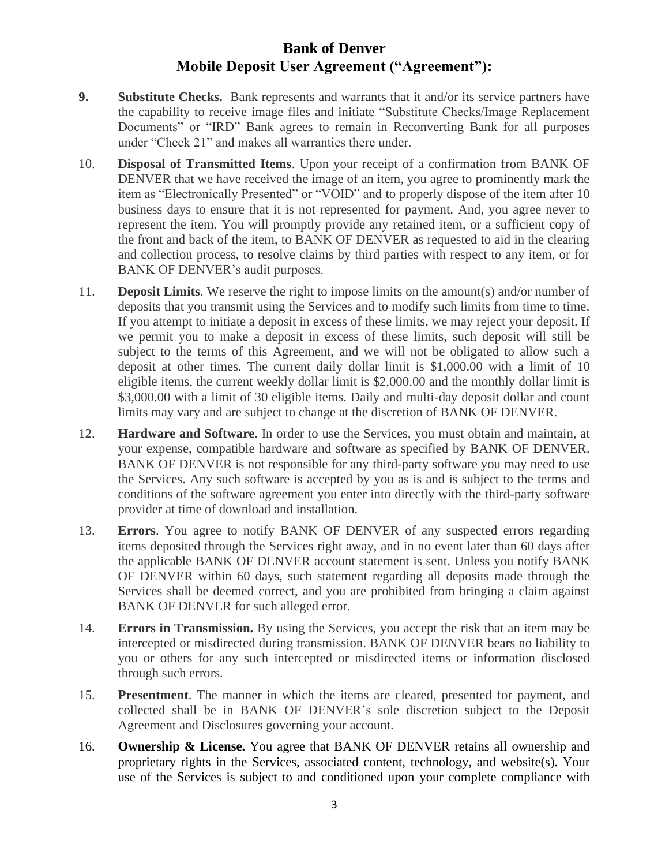- **9. Substitute Checks.** Bank represents and warrants that it and/or its service partners have the capability to receive image files and initiate "Substitute Checks/Image Replacement Documents" or "IRD" Bank agrees to remain in Reconverting Bank for all purposes under "Check 21" and makes all warranties there under.
- 10. **Disposal of Transmitted Items**. Upon your receipt of a confirmation from BANK OF DENVER that we have received the image of an item, you agree to prominently mark the item as "Electronically Presented" or "VOID" and to properly dispose of the item after 10 business days to ensure that it is not represented for payment. And, you agree never to represent the item. You will promptly provide any retained item, or a sufficient copy of the front and back of the item, to BANK OF DENVER as requested to aid in the clearing and collection process, to resolve claims by third parties with respect to any item, or for BANK OF DENVER's audit purposes.
- 11. **Deposit Limits**. We reserve the right to impose limits on the amount(s) and/or number of deposits that you transmit using the Services and to modify such limits from time to time. If you attempt to initiate a deposit in excess of these limits, we may reject your deposit. If we permit you to make a deposit in excess of these limits, such deposit will still be subject to the terms of this Agreement, and we will not be obligated to allow such a deposit at other times. The current daily dollar limit is \$1,000.00 with a limit of 10 eligible items, the current weekly dollar limit is \$2,000.00 and the monthly dollar limit is \$3,000.00 with a limit of 30 eligible items. Daily and multi-day deposit dollar and count limits may vary and are subject to change at the discretion of BANK OF DENVER.
- 12. **Hardware and Software**. In order to use the Services, you must obtain and maintain, at your expense, compatible hardware and software as specified by BANK OF DENVER. BANK OF DENVER is not responsible for any third-party software you may need to use the Services. Any such software is accepted by you as is and is subject to the terms and conditions of the software agreement you enter into directly with the third-party software provider at time of download and installation.
- 13. **Errors**. You agree to notify BANK OF DENVER of any suspected errors regarding items deposited through the Services right away, and in no event later than 60 days after the applicable BANK OF DENVER account statement is sent. Unless you notify BANK OF DENVER within 60 days, such statement regarding all deposits made through the Services shall be deemed correct, and you are prohibited from bringing a claim against BANK OF DENVER for such alleged error.
- 14. **Errors in Transmission.** By using the Services, you accept the risk that an item may be intercepted or misdirected during transmission. BANK OF DENVER bears no liability to you or others for any such intercepted or misdirected items or information disclosed through such errors.
- 15. **Presentment**. The manner in which the items are cleared, presented for payment, and collected shall be in BANK OF DENVER's sole discretion subject to the Deposit Agreement and Disclosures governing your account.
- 16. **Ownership & License.** You agree that BANK OF DENVER retains all ownership and proprietary rights in the Services, associated content, technology, and website(s). Your use of the Services is subject to and conditioned upon your complete compliance with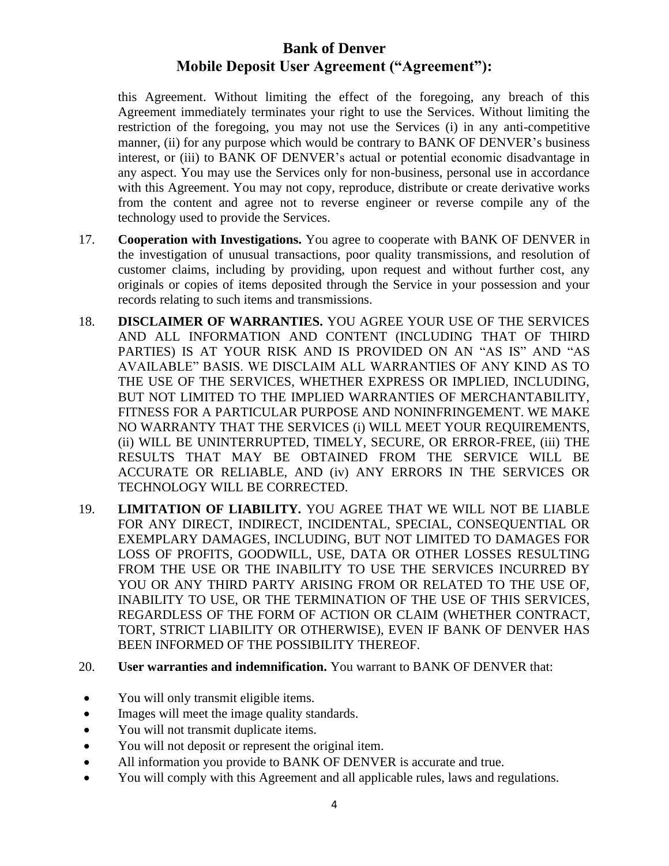this Agreement. Without limiting the effect of the foregoing, any breach of this Agreement immediately terminates your right to use the Services. Without limiting the restriction of the foregoing, you may not use the Services (i) in any anti-competitive manner, (ii) for any purpose which would be contrary to BANK OF DENVER's business interest, or (iii) to BANK OF DENVER's actual or potential economic disadvantage in any aspect. You may use the Services only for non-business, personal use in accordance with this Agreement. You may not copy, reproduce, distribute or create derivative works from the content and agree not to reverse engineer or reverse compile any of the technology used to provide the Services.

- 17. **Cooperation with Investigations.** You agree to cooperate with BANK OF DENVER in the investigation of unusual transactions, poor quality transmissions, and resolution of customer claims, including by providing, upon request and without further cost, any originals or copies of items deposited through the Service in your possession and your records relating to such items and transmissions.
- 18. **DISCLAIMER OF WARRANTIES.** YOU AGREE YOUR USE OF THE SERVICES AND ALL INFORMATION AND CONTENT (INCLUDING THAT OF THIRD PARTIES) IS AT YOUR RISK AND IS PROVIDED ON AN "AS IS" AND "AS AVAILABLE" BASIS. WE DISCLAIM ALL WARRANTIES OF ANY KIND AS TO THE USE OF THE SERVICES, WHETHER EXPRESS OR IMPLIED, INCLUDING, BUT NOT LIMITED TO THE IMPLIED WARRANTIES OF MERCHANTABILITY, FITNESS FOR A PARTICULAR PURPOSE AND NONINFRINGEMENT. WE MAKE NO WARRANTY THAT THE SERVICES (i) WILL MEET YOUR REQUIREMENTS, (ii) WILL BE UNINTERRUPTED, TIMELY, SECURE, OR ERROR-FREE, (iii) THE RESULTS THAT MAY BE OBTAINED FROM THE SERVICE WILL BE ACCURATE OR RELIABLE, AND (iv) ANY ERRORS IN THE SERVICES OR TECHNOLOGY WILL BE CORRECTED.
- 19. **LIMITATION OF LIABILITY.** YOU AGREE THAT WE WILL NOT BE LIABLE FOR ANY DIRECT, INDIRECT, INCIDENTAL, SPECIAL, CONSEQUENTIAL OR EXEMPLARY DAMAGES, INCLUDING, BUT NOT LIMITED TO DAMAGES FOR LOSS OF PROFITS, GOODWILL, USE, DATA OR OTHER LOSSES RESULTING FROM THE USE OR THE INABILITY TO USE THE SERVICES INCURRED BY YOU OR ANY THIRD PARTY ARISING FROM OR RELATED TO THE USE OF, INABILITY TO USE, OR THE TERMINATION OF THE USE OF THIS SERVICES, REGARDLESS OF THE FORM OF ACTION OR CLAIM (WHETHER CONTRACT, TORT, STRICT LIABILITY OR OTHERWISE), EVEN IF BANK OF DENVER HAS BEEN INFORMED OF THE POSSIBILITY THEREOF.
- 20. **User warranties and indemnification.** You warrant to BANK OF DENVER that:
- You will only transmit eligible items.
- Images will meet the image quality standards.
- You will not transmit duplicate items.
- You will not deposit or represent the original item.
- All information you provide to BANK OF DENVER is accurate and true.
- You will comply with this Agreement and all applicable rules, laws and regulations.